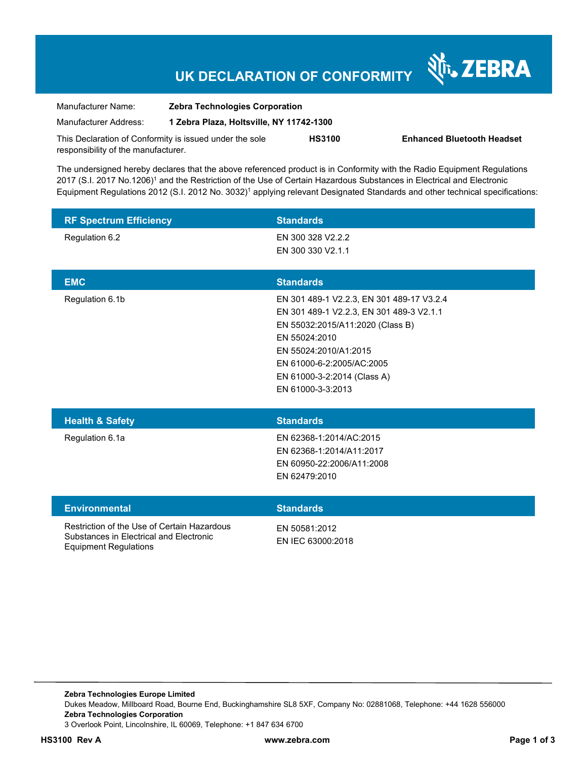# **UK DECLARATION OF CONFORMITY**

Nr. ZEBRA

| Manufacturer Name:                                      | <b>Zebra Technologies Corporation</b>    |               |                                   |
|---------------------------------------------------------|------------------------------------------|---------------|-----------------------------------|
| Manufacturer Address:                                   | 1 Zebra Plaza, Holtsville, NY 11742-1300 |               |                                   |
| This Declaration of Conformity is issued under the sole |                                          | <b>HS3100</b> | <b>Enhanced Bluetooth Headset</b> |
| responsibility of the manufacturer.                     |                                          |               |                                   |

The undersigned hereby declares that the above referenced product is in Conformity with the Radio Equipment Regulations 2017 (S.I. 2017 No.1206)<sup>1</sup> and the Restriction of the Use of Certain Hazardous Substances in Electrical and Electronic Equipment Regulations 2012 (S.I. 2012 No. 3032)<sup>1</sup> applying relevant Designated Standards and other technical specifications:

| <b>RF Spectrum Efficiency</b>                                                                                          | <b>Standards</b>                                                                                                                                                                                                                                     |
|------------------------------------------------------------------------------------------------------------------------|------------------------------------------------------------------------------------------------------------------------------------------------------------------------------------------------------------------------------------------------------|
| Regulation 6.2                                                                                                         | EN 300 328 V2.2.2<br>EN 300 330 V2.1.1                                                                                                                                                                                                               |
| <b>EMC</b>                                                                                                             | <b>Standards</b>                                                                                                                                                                                                                                     |
| Regulation 6.1b                                                                                                        | EN 301 489-1 V2.2.3, EN 301 489-17 V3.2.4<br>EN 301 489-1 V2.2.3, EN 301 489-3 V2.1.1<br>EN 55032:2015/A11:2020 (Class B)<br>EN 55024:2010<br>EN 55024:2010/A1:2015<br>EN 61000-6-2:2005/AC:2005<br>EN 61000-3-2:2014 (Class A)<br>EN 61000-3-3:2013 |
| <b>Health &amp; Safety</b>                                                                                             | <b>Standards</b>                                                                                                                                                                                                                                     |
| Regulation 6.1a                                                                                                        | EN 62368-1:2014/AC:2015<br>EN 62368-1:2014/A11:2017<br>EN 60950-22:2006/A11:2008<br>EN 62479:2010                                                                                                                                                    |
| <b>Environmental</b>                                                                                                   | <b>Standards</b>                                                                                                                                                                                                                                     |
| Restriction of the Use of Certain Hazardous<br>Substances in Electrical and Electronic<br><b>Equipment Regulations</b> | EN 50581:2012<br>EN IEC 63000:2018                                                                                                                                                                                                                   |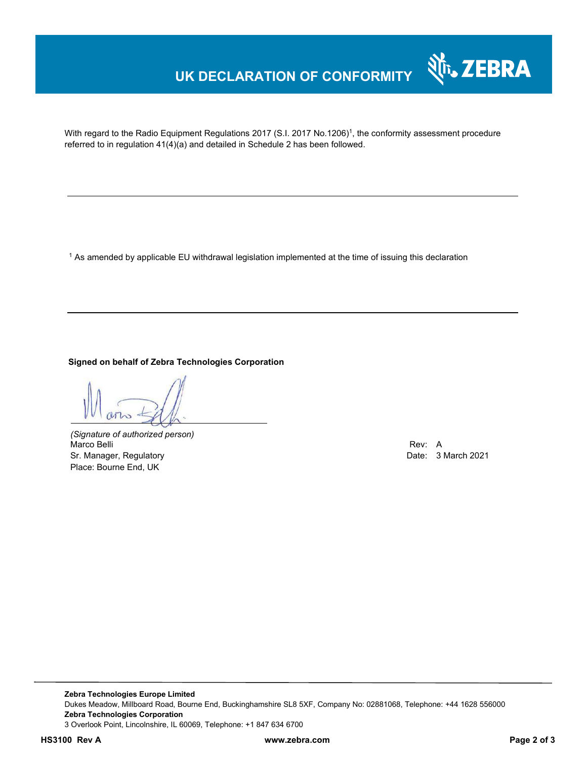## **UK DECLARATION OF CONFORMITY**



With regard to the Radio Equipment Regulations 2017 (S.I. 2017 No.1206)<sup>1</sup>, the conformity assessment procedure referred to in regulation 41(4)(a) and detailed in Schedule 2 has been followed.

 $^{\rm 1}$  As amended by applicable EU withdrawal legislation implemented at the time of issuing this declaration

**Signed on behalf of Zebra Technologies Corporation** 

*(Signature of authorized person)* Marco Belli Rev: A Sr. Manager, Regulatory **Date: 3 March 2021** Controller Controller Controller Controller Controller Date: 3 March 2021 Place: Bourne End, UK

**Zebra Technologies Europe Limited**  Dukes Meadow, Millboard Road, Bourne End, Buckinghamshire SL8 5XF, Company No: 02881068, Telephone: +44 1628 556000 **Zebra Technologies Corporation**  3 Overlook Point, Lincolnshire, IL 60069, Telephone: +1 847 634 6700